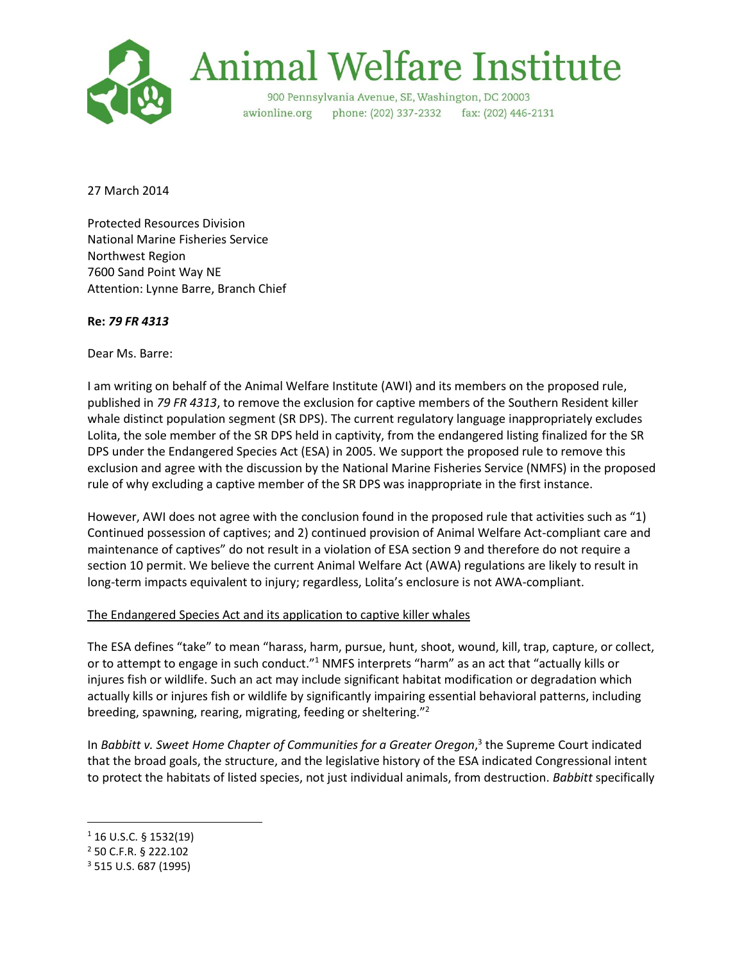

# **Animal Welfare Institute**

900 Pennsylvania Avenue, SE, Washington, DC 20003 awionline.org phone: (202) 337-2332 fax: (202) 446-2131

27 March 2014

Protected Resources Division National Marine Fisheries Service Northwest Region 7600 Sand Point Way NE Attention: Lynne Barre, Branch Chief

## **Re:** *79 FR 4313*

Dear Ms. Barre:

I am writing on behalf of the Animal Welfare Institute (AWI) and its members on the proposed rule, published in *79 FR 4313*, to remove the exclusion for captive members of the Southern Resident killer whale distinct population segment (SR DPS). The current regulatory language inappropriately excludes Lolita, the sole member of the SR DPS held in captivity, from the endangered listing finalized for the SR DPS under the Endangered Species Act (ESA) in 2005. We support the proposed rule to remove this exclusion and agree with the discussion by the National Marine Fisheries Service (NMFS) in the proposed rule of why excluding a captive member of the SR DPS was inappropriate in the first instance.

However, AWI does not agree with the conclusion found in the proposed rule that activities such as "1) Continued possession of captives; and 2) continued provision of Animal Welfare Act-compliant care and maintenance of captives" do not result in a violation of ESA section 9 and therefore do not require a section 10 permit. We believe the current Animal Welfare Act (AWA) regulations are likely to result in long-term impacts equivalent to injury; regardless, Lolita's enclosure is not AWA-compliant.

### The Endangered Species Act and its application to captive killer whales

The ESA defines "take" to mean "harass, harm, pursue, hunt, shoot, wound, kill, trap, capture, or collect, or to attempt to engage in such conduct."<sup>1</sup> NMFS interprets "harm" as an act that "actually kills or injures fish or wildlife. Such an act may include significant habitat modification or degradation which actually kills or injures fish or wildlife by significantly impairing essential behavioral patterns, including breeding, spawning, rearing, migrating, feeding or sheltering."<sup>2</sup>

In *Babbitt v. Sweet Home Chapter of Communities for a Greater Oregon*, 3 the Supreme Court indicated that the broad goals, the structure, and the legislative history of the ESA indicated Congressional intent to protect the habitats of listed species, not just individual animals, from destruction. *Babbitt* specifically

 $\overline{a}$ 

 $1$  16 U.S.C. § 1532(19)

<sup>2</sup> 50 C.F.R. § 222.102

<sup>3</sup> 515 U.S. 687 (1995)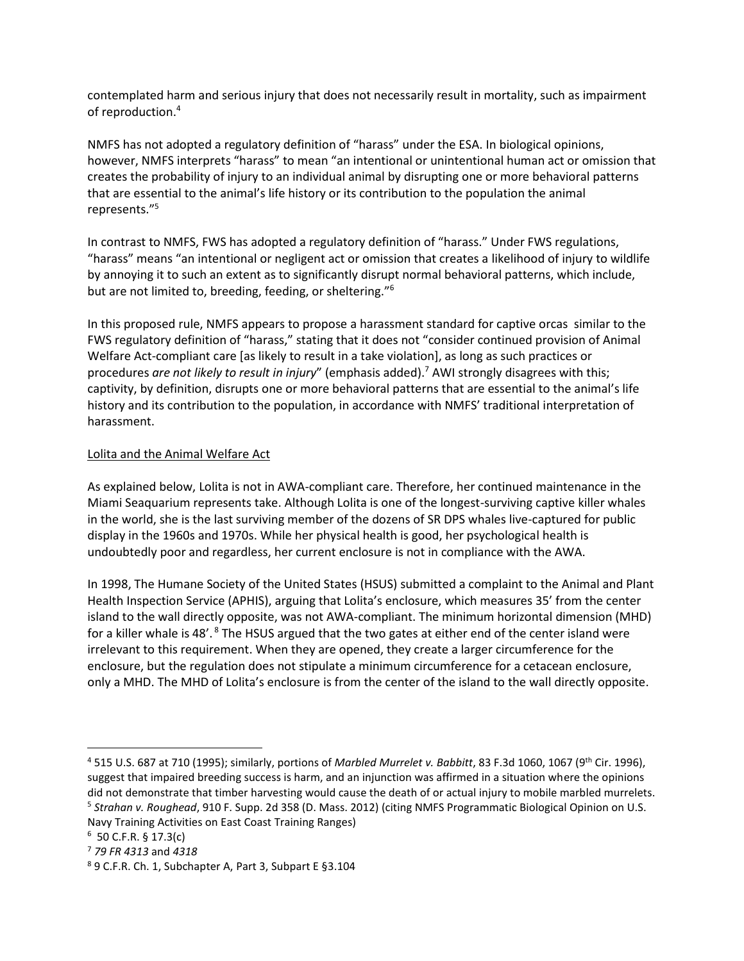contemplated harm and serious injury that does not necessarily result in mortality, such as impairment of reproduction.<sup>4</sup>

NMFS has not adopted a regulatory definition of "harass" under the ESA. In biological opinions, however, NMFS interprets "harass" to mean "an intentional or unintentional human act or omission that creates the probability of injury to an individual animal by disrupting one or more behavioral patterns that are essential to the animal's life history or its contribution to the population the animal represents."<sup>5</sup>

In contrast to NMFS, FWS has adopted a regulatory definition of "harass." Under FWS regulations, "harass" means "an intentional or negligent act or omission that creates a likelihood of injury to wildlife by annoying it to such an extent as to significantly disrupt normal behavioral patterns, which include, but are not limited to, breeding, feeding, or sheltering."<sup>6</sup>

In this proposed rule, NMFS appears to propose a harassment standard for captive orcas similar to the FWS regulatory definition of "harass," stating that it does not "consider continued provision of Animal Welfare Act-compliant care [as likely to result in a take violation], as long as such practices or procedures *are not likely to result in injury*" (emphasis added).<sup>7</sup> AWI strongly disagrees with this; captivity, by definition, disrupts one or more behavioral patterns that are essential to the animal's life history and its contribution to the population, in accordance with NMFS' traditional interpretation of harassment.

### Lolita and the Animal Welfare Act

As explained below, Lolita is not in AWA-compliant care. Therefore, her continued maintenance in the Miami Seaquarium represents take. Although Lolita is one of the longest-surviving captive killer whales in the world, she is the last surviving member of the dozens of SR DPS whales live-captured for public display in the 1960s and 1970s. While her physical health is good, her psychological health is undoubtedly poor and regardless, her current enclosure is not in compliance with the AWA.

In 1998, The Humane Society of the United States (HSUS) submitted a complaint to the Animal and Plant Health Inspection Service (APHIS), arguing that Lolita's enclosure, which measures 35' from the center island to the wall directly opposite, was not AWA-compliant. The minimum horizontal dimension (MHD) for a killer whale is 48'.<sup>8</sup> The HSUS argued that the two gates at either end of the center island were irrelevant to this requirement. When they are opened, they create a larger circumference for the enclosure, but the regulation does not stipulate a minimum circumference for a cetacean enclosure, only a MHD. The MHD of Lolita's enclosure is from the center of the island to the wall directly opposite.

Navy Training Activities on East Coast Training Ranges)

 $\overline{a}$ 

<sup>4</sup> 515 U.S. 687 at 710 (1995); similarly, portions of *Marbled Murrelet v. Babbitt*, 83 F.3d 1060, 1067 (9th Cir. 1996), suggest that impaired breeding success is harm, and an injunction was affirmed in a situation where the opinions did not demonstrate that timber harvesting would cause the death of or actual injury to mobile marbled murrelets. 5 *Strahan v. Roughead*, 910 F. Supp. 2d 358 (D. Mass. 2012) (citing NMFS Programmatic Biological Opinion on U.S.

 $6$  50 C.F.R. § 17.3(c)

<sup>7</sup> *79 FR 4313* and *4318*

<sup>8</sup> 9 C.F.R. Ch. 1, Subchapter A, Part 3, Subpart E §3.104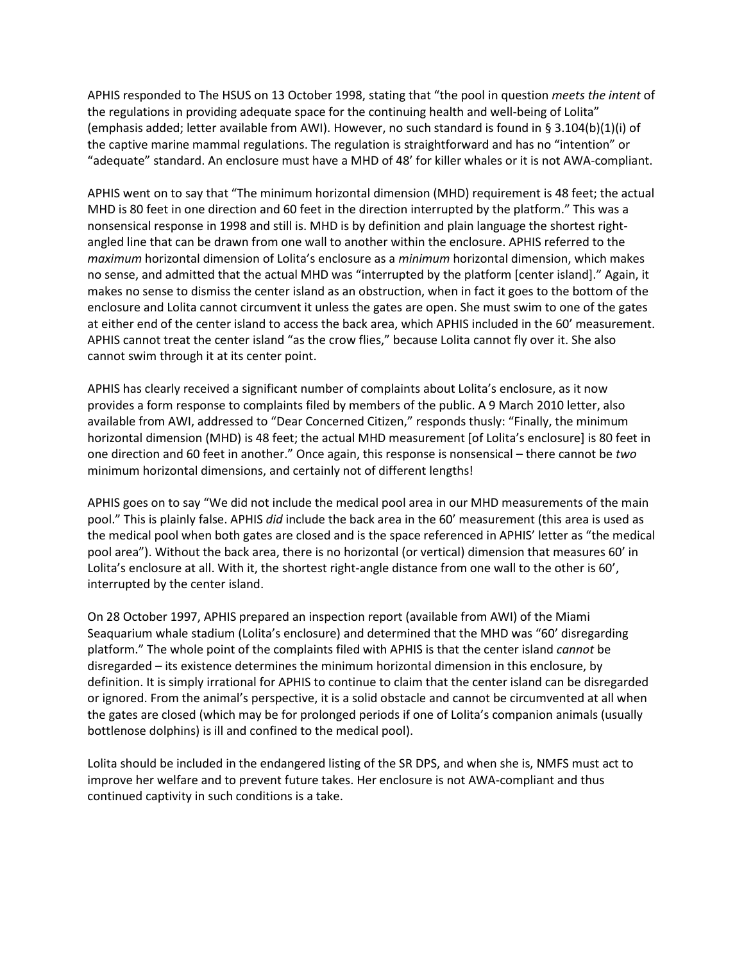APHIS responded to The HSUS on 13 October 1998, stating that "the pool in question *meets the intent* of the regulations in providing adequate space for the continuing health and well-being of Lolita" (emphasis added; letter available from AWI). However, no such standard is found in § 3.104(b)(1)(i) of the captive marine mammal regulations. The regulation is straightforward and has no "intention" or "adequate" standard. An enclosure must have a MHD of 48' for killer whales or it is not AWA-compliant.

APHIS went on to say that "The minimum horizontal dimension (MHD) requirement is 48 feet; the actual MHD is 80 feet in one direction and 60 feet in the direction interrupted by the platform." This was a nonsensical response in 1998 and still is. MHD is by definition and plain language the shortest rightangled line that can be drawn from one wall to another within the enclosure. APHIS referred to the *maximum* horizontal dimension of Lolita's enclosure as a *minimum* horizontal dimension, which makes no sense, and admitted that the actual MHD was "interrupted by the platform [center island]." Again, it makes no sense to dismiss the center island as an obstruction, when in fact it goes to the bottom of the enclosure and Lolita cannot circumvent it unless the gates are open. She must swim to one of the gates at either end of the center island to access the back area, which APHIS included in the 60' measurement. APHIS cannot treat the center island "as the crow flies," because Lolita cannot fly over it. She also cannot swim through it at its center point.

APHIS has clearly received a significant number of complaints about Lolita's enclosure, as it now provides a form response to complaints filed by members of the public. A 9 March 2010 letter, also available from AWI, addressed to "Dear Concerned Citizen," responds thusly: "Finally, the minimum horizontal dimension (MHD) is 48 feet; the actual MHD measurement [of Lolita's enclosure] is 80 feet in one direction and 60 feet in another." Once again, this response is nonsensical – there cannot be *two* minimum horizontal dimensions, and certainly not of different lengths!

APHIS goes on to say "We did not include the medical pool area in our MHD measurements of the main pool." This is plainly false. APHIS *did* include the back area in the 60' measurement (this area is used as the medical pool when both gates are closed and is the space referenced in APHIS' letter as "the medical pool area"). Without the back area, there is no horizontal (or vertical) dimension that measures 60' in Lolita's enclosure at all. With it, the shortest right-angle distance from one wall to the other is 60', interrupted by the center island.

On 28 October 1997, APHIS prepared an inspection report (available from AWI) of the Miami Seaquarium whale stadium (Lolita's enclosure) and determined that the MHD was "60' disregarding platform." The whole point of the complaints filed with APHIS is that the center island *cannot* be disregarded – its existence determines the minimum horizontal dimension in this enclosure, by definition. It is simply irrational for APHIS to continue to claim that the center island can be disregarded or ignored. From the animal's perspective, it is a solid obstacle and cannot be circumvented at all when the gates are closed (which may be for prolonged periods if one of Lolita's companion animals (usually bottlenose dolphins) is ill and confined to the medical pool).

Lolita should be included in the endangered listing of the SR DPS, and when she is, NMFS must act to improve her welfare and to prevent future takes. Her enclosure is not AWA-compliant and thus continued captivity in such conditions is a take.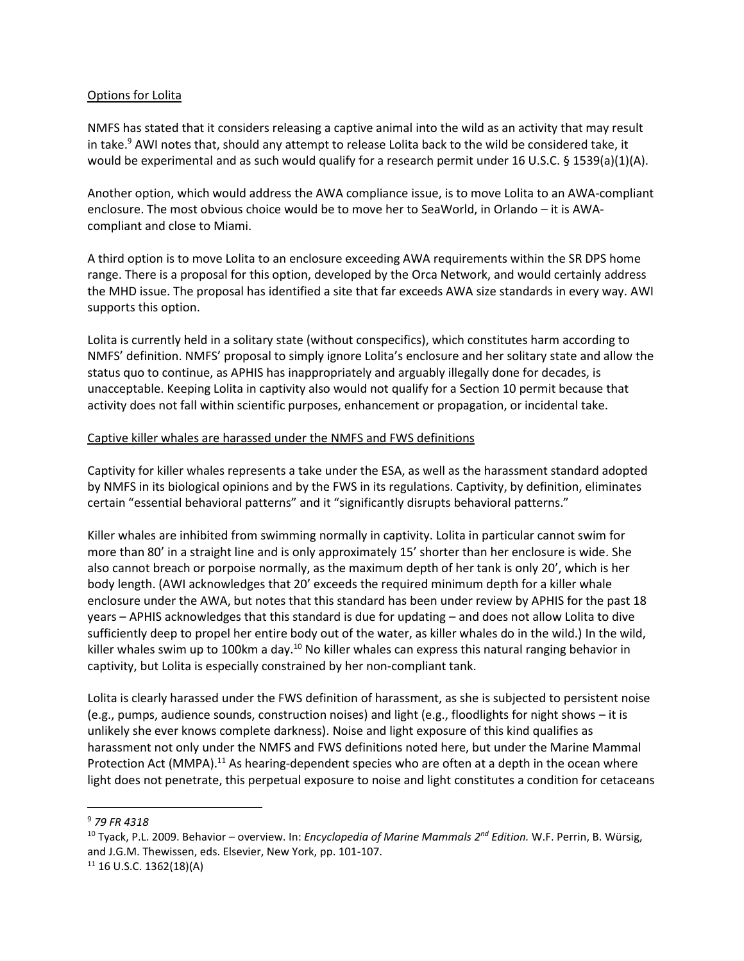### Options for Lolita

NMFS has stated that it considers releasing a captive animal into the wild as an activity that may result in take. <sup>9</sup> AWI notes that, should any attempt to release Lolita back to the wild be considered take, it would be experimental and as such would qualify for a research permit under 16 U.S.C. § 1539(a)(1)(A).

Another option, which would address the AWA compliance issue, is to move Lolita to an AWA-compliant enclosure. The most obvious choice would be to move her to SeaWorld, in Orlando – it is AWAcompliant and close to Miami.

A third option is to move Lolita to an enclosure exceeding AWA requirements within the SR DPS home range. There is a proposal for this option, developed by the Orca Network, and would certainly address the MHD issue. The proposal has identified a site that far exceeds AWA size standards in every way. AWI supports this option.

Lolita is currently held in a solitary state (without conspecifics), which constitutes harm according to NMFS' definition. NMFS' proposal to simply ignore Lolita's enclosure and her solitary state and allow the status quo to continue, as APHIS has inappropriately and arguably illegally done for decades, is unacceptable. Keeping Lolita in captivity also would not qualify for a Section 10 permit because that activity does not fall within scientific purposes, enhancement or propagation, or incidental take.

### Captive killer whales are harassed under the NMFS and FWS definitions

Captivity for killer whales represents a take under the ESA, as well as the harassment standard adopted by NMFS in its biological opinions and by the FWS in its regulations. Captivity, by definition, eliminates certain "essential behavioral patterns" and it "significantly disrupts behavioral patterns."

Killer whales are inhibited from swimming normally in captivity. Lolita in particular cannot swim for more than 80' in a straight line and is only approximately 15' shorter than her enclosure is wide. She also cannot breach or porpoise normally, as the maximum depth of her tank is only 20', which is her body length. (AWI acknowledges that 20' exceeds the required minimum depth for a killer whale enclosure under the AWA, but notes that this standard has been under review by APHIS for the past 18 years – APHIS acknowledges that this standard is due for updating – and does not allow Lolita to dive sufficiently deep to propel her entire body out of the water, as killer whales do in the wild.) In the wild, killer whales swim up to 100km a day.<sup>10</sup> No killer whales can express this natural ranging behavior in captivity, but Lolita is especially constrained by her non-compliant tank.

Lolita is clearly harassed under the FWS definition of harassment, as she is subjected to persistent noise (e.g., pumps, audience sounds, construction noises) and light (e.g., floodlights for night shows – it is unlikely she ever knows complete darkness). Noise and light exposure of this kind qualifies as harassment not only under the NMFS and FWS definitions noted here, but under the Marine Mammal Protection Act (MMPA).<sup>11</sup> As hearing-dependent species who are often at a depth in the ocean where light does not penetrate, this perpetual exposure to noise and light constitutes a condition for cetaceans

 $\overline{a}$ 

<sup>9</sup> *79 FR 4318*

<sup>10</sup> Tyack, P.L. 2009. Behavior – overview. In: *Encyclopedia of Marine Mammals 2 nd Edition.* W.F. Perrin, B. Würsig, and J.G.M. Thewissen, eds. Elsevier, New York, pp. 101-107.

 $11$  16 U.S.C. 1362(18)(A)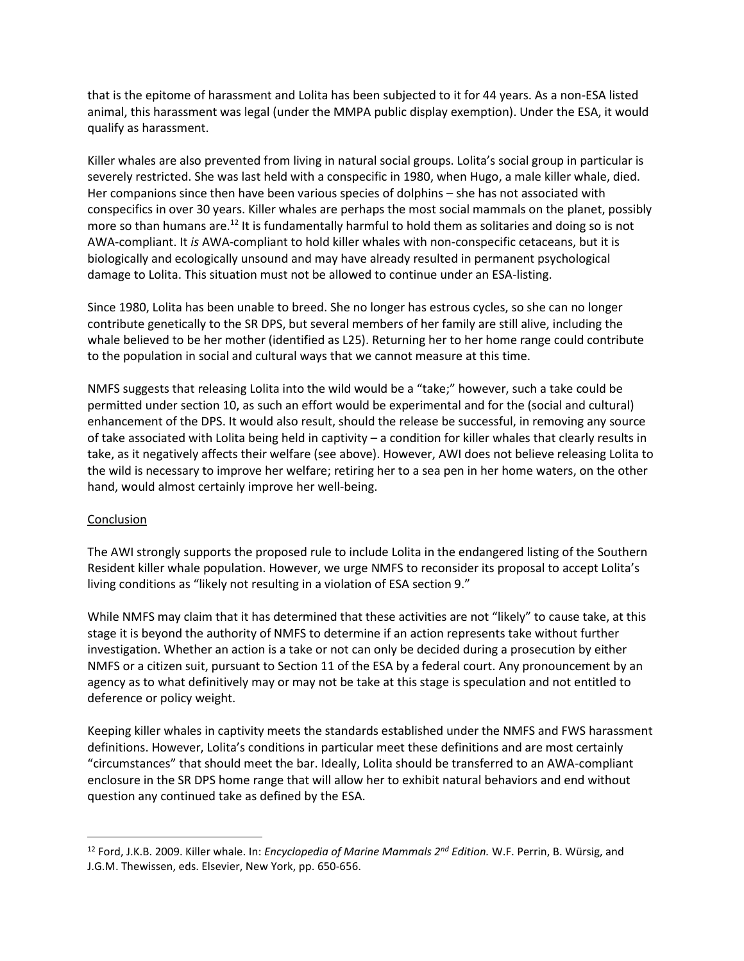that is the epitome of harassment and Lolita has been subjected to it for 44 years. As a non-ESA listed animal, this harassment was legal (under the MMPA public display exemption). Under the ESA, it would qualify as harassment.

Killer whales are also prevented from living in natural social groups. Lolita's social group in particular is severely restricted. She was last held with a conspecific in 1980, when Hugo, a male killer whale, died. Her companions since then have been various species of dolphins – she has not associated with conspecifics in over 30 years. Killer whales are perhaps the most social mammals on the planet, possibly more so than humans are.<sup>12</sup> It is fundamentally harmful to hold them as solitaries and doing so is not AWA-compliant. It *is* AWA-compliant to hold killer whales with non-conspecific cetaceans, but it is biologically and ecologically unsound and may have already resulted in permanent psychological damage to Lolita. This situation must not be allowed to continue under an ESA-listing.

Since 1980, Lolita has been unable to breed. She no longer has estrous cycles, so she can no longer contribute genetically to the SR DPS, but several members of her family are still alive, including the whale believed to be her mother (identified as L25). Returning her to her home range could contribute to the population in social and cultural ways that we cannot measure at this time.

NMFS suggests that releasing Lolita into the wild would be a "take;" however, such a take could be permitted under section 10, as such an effort would be experimental and for the (social and cultural) enhancement of the DPS. It would also result, should the release be successful, in removing any source of take associated with Lolita being held in captivity – a condition for killer whales that clearly results in take, as it negatively affects their welfare (see above). However, AWI does not believe releasing Lolita to the wild is necessary to improve her welfare; retiring her to a sea pen in her home waters, on the other hand, would almost certainly improve her well-being.

### Conclusion

 $\overline{a}$ 

The AWI strongly supports the proposed rule to include Lolita in the endangered listing of the Southern Resident killer whale population. However, we urge NMFS to reconsider its proposal to accept Lolita's living conditions as "likely not resulting in a violation of ESA section 9."

While NMFS may claim that it has determined that these activities are not "likely" to cause take, at this stage it is beyond the authority of NMFS to determine if an action represents take without further investigation. Whether an action is a take or not can only be decided during a prosecution by either NMFS or a citizen suit, pursuant to Section 11 of the ESA by a federal court. Any pronouncement by an agency as to what definitively may or may not be take at this stage is speculation and not entitled to deference or policy weight.

Keeping killer whales in captivity meets the standards established under the NMFS and FWS harassment definitions. However, Lolita's conditions in particular meet these definitions and are most certainly "circumstances" that should meet the bar. Ideally, Lolita should be transferred to an AWA-compliant enclosure in the SR DPS home range that will allow her to exhibit natural behaviors and end without question any continued take as defined by the ESA.

<sup>12</sup> Ford, J.K.B. 2009. Killer whale. In: *Encyclopedia of Marine Mammals 2nd Edition.* W.F. Perrin, B. Würsig, and J.G.M. Thewissen, eds. Elsevier, New York, pp. 650-656.